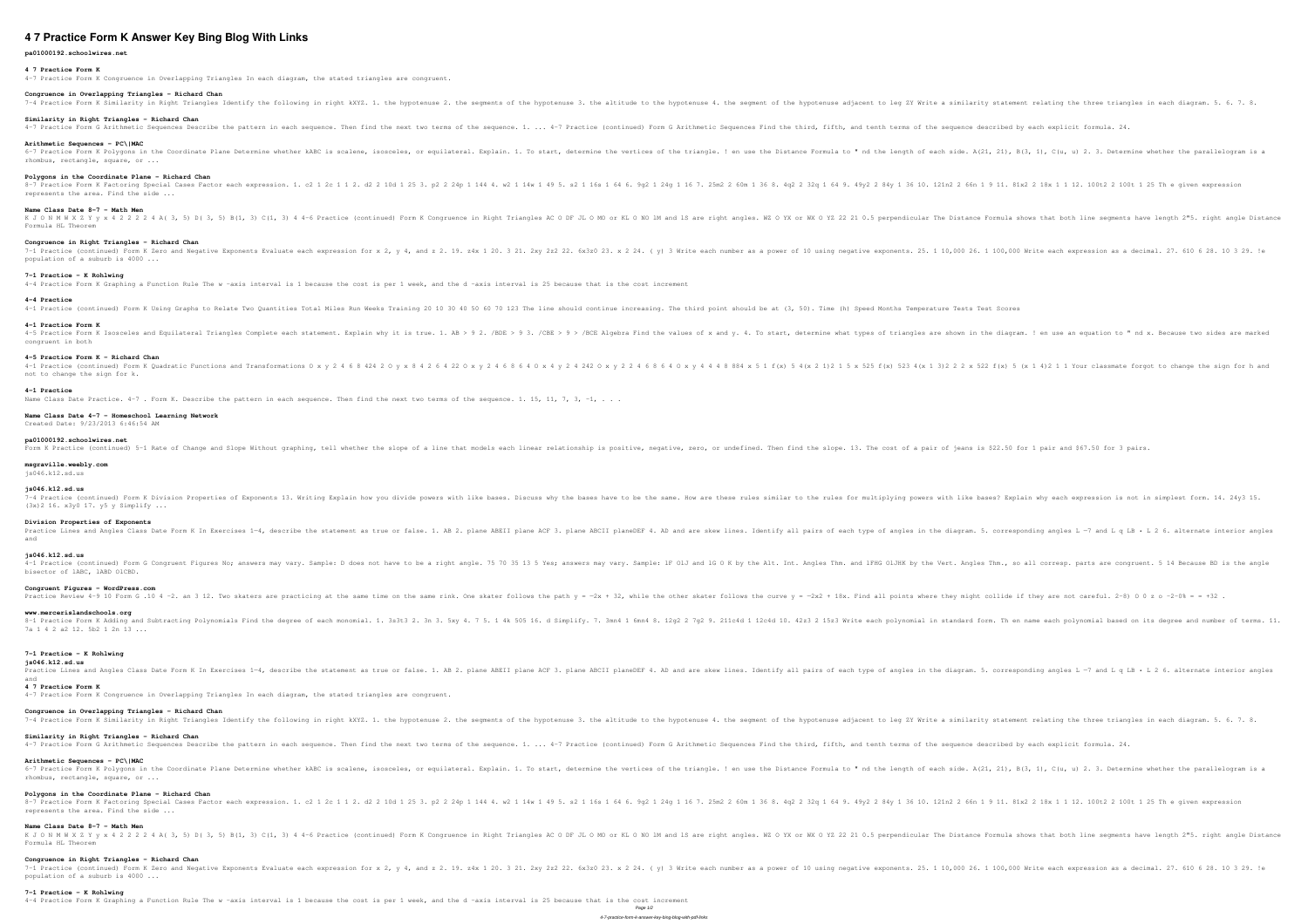# **4 7 Practice Form K Answer Key Bing Blog With Links**

**pa01000192.schoolwires.net**

### **4 7 Practice Form K** 4-7 Practice Form K Congruence in Overlapping Triangles In each diagram, the stated triangles are congruent.

**Congruence in Overlapping Triangles - Richard Chan**

7–4 Practice Form K Similarity in Right Triangles Identify the following in right kXYZ. 1. the hypotenuse 2. the segments of the hypotenuse 3. the altitude to the hypotenuse adjacent to leg ZY Write a similarity statement **Similarity in Right Triangles - Richard Chan** 4-7 Practice Form G Arithmetic Sequences Describe the pattern in each sequence. Then find the next two terms of the sequences Find the third, fifth, and tenth terms of the sequence described by each explicit formula. 24. **Arithmetic Sequences - PC\|MAC** 6-7 Practice Form K Polygons in the Coordinate Plane Determine whether kABC is scalene, isosceles, or equilateral. Explain. 1. To start, determine the length of each side. A(21, 21), B(3, 1), C(u, u) 2. 3. Determine whethe rhombus, rectangle, square, or ... **Polygons in the Coordinate Plane - Richard Chan** 8-7 Practice Form K Factoring Special Cases Factor each expression. 1. c2 1 2c 1 1 2. d2 2 10d 1 25 3. p2 2 24p 1 144 4. w2 1 14w 1 49 5. s2 1 16s 1 64 6. 9g2 1 24g 1 16 7. 25m2 2 60m 1 36 8. 4g2 2 32q 1 64 9. 49y2 2 84y 1 represents the area. Find the side ... **Name Class Date 8-7 - Math Men** KJONMWXZYyx42224A(3,5)D(3,5)B(1,3)C(1,3)44-6 Practice (continued) Form K Congruence in Right Triangles ACODF JLOMO or KLONO IM and 1S are right angles. WZOYX or WXOYZ 22 21 0.5 perpendicular The Distance Formula shows that Formula HL Theorem **Congruence in Right Triangles - Richard Chan** 7-1 Practice (continued) Form K Zero and Negative Exponents Evaluate each expression for x 2, y 4, and z 2. 19. z4x 1 20. 3 21. 2xy 2z2 22. 6x3z0 23. x 2 24. ( y) 3 Write each number as a power of 10 using negative exponen population of a suburb is 4000 ... **7-1 Practice - K Rohlwing**

4-4 Practice Form K Graphing a Function Rule The w -axis interval is 1 because the cost is per 1 week, and the d -axis interval is 25 because that is the cost increment

**4-1 Practice Form K** 4-5 Practice Form K Isosceles and Equilateral Triangles Complete each statement. Explain why it is true. 1. AB > 9 2. /BDE > 9 3. /CBE > 9 > /BCE Algebra Find the values of x and y. 4. To start, determine what types of tri congruent in both **4-5 Practice Form K - Richard Chan** 4-1 Practice (continued) Form K Quadratic Functions and Transformations O x y 2 4 6 8 424 2 O y x 8 4 2 6 4 22 O x y 2 4 6 8 6 4 O x y 2 4 6 8 6 4 O x y 4 4 4 8 884 x 5 1 f(x) 5 23 4(x 2 1)2 1 5 x 525 f(x) 5 23 4(x 1 3)2 2 not to change the sign for k. **4-1 Practice** Name Class Date Practice. 4-7 . Form K. Describe the pattern in each sequence. Then find the next two terms of the sequence. 1. 15, 11, 7, 3, -1, . . .

js046.k12.sd.us 7–4 Practice (continued) Form K Division Properties of Exponents 13. Writing Explain how you divide powers with like bases. Discuss why the bases have to be the same. How are these rules for multiplying powers with like ba (3x)2 16. x3y0 17. y5 y Simplify ... **Division Properties of Exponents** Practice Lines and Angles Class Date Form K In Exercises 1-4, describe the statement as true or false. 1. AB 2. plane ABCII plane ABCII plane DEF 4. AD and are skew lines. Identify all pairs of each type of angles in the d and **js046.k12.sd.us** 4–1 Practice (continued) Form G Congruent Figures No; answers may vary. Sample: D does not have to be a right angle. 75 70 35 13 5 Yes; answers may vary. Sample: IF OlJ and IG O K by the Alt. Int. Angles Thm., so all corre bisector of lABC, lABD OlCBD. **Congruent Figures - WordPress.com** Practice Review 4-9 10 Form G .10 4 -2. an 3 12. Two skaters are practicing at the same time on the same time on the same rink. One skater follows the path y =  $-2x$  + 32, while the other skater follows the path y =  $-2x$ **www.mercerislandschools.org** 8–1 Practice Form K Adding and Subtracting Polynomials Find the degree of each monomial. 1. 3s3t3 2. 3n 3. 5xy 4. 7 5. 1 4k 505 16. d Simplify. 7. 3mn4 1 6mn4 8. 12g2 2 7g2 9. 211c4d 10. 42z3 2 15z3 Write each polynomial i

### **4-4 Practice**

4-1 Practice (continued) Form K Using Graphs to Relate Two Quantities Total Miles Run Weeks Training 20 10 30 40 50 60 70 123 The line should continue increasing. The third point should be at (3, 50). Time (h) Speed Months

# **Name Class Date 4-7 - Homeschool Learning Network**

Created Date: 9/23/2013 6:46:54 AM

### **pa01000192.schoolwires.net**

Form K Practice (continued) 5-1 Rate of Change and Slope Without graphing, tell whether the slope of a line that models each linear relationship is positive, negative, zero, or undefined. Then find the slope. 13. The cost

# **msgraville.weebly.com**

**js046.k12.sd.us**

7–4 Practice Form K Similarity in Right Triangles Identify the following in right kXYZ. 1. the hypotenuse 2. the segments of the hypotenuse 3. the altitude to the hypotenuse adjacent to leg ZY Write a similarity statement **Similarity in Right Triangles - Richard Chan** 4-7 Practice Form G Arithmetic Sequences Describe the pattern in each sequence. Then find the next two terms of the sequences Find the third, fifth, and tenth terms of the sequence described by each explicit formula. 24. **Arithmetic Sequences - PC\|MAC** 6–7 Practice Form K Polygons in the Coordinate Plane Determine whether kABC is scalene, isosceles, or equilateral. Explain. 1. To start, determine the length of each side. A(21, 21), B(3, 1), C(u, u) 2. 3. Determine whethe rhombus, rectangle, square, or ... **Polygons in the Coordinate Plane - Richard Chan** 8-7 Practice Form K Factoring Special Cases Factor each expression. 1. c2 1 2c 1 1 2. d2 2 10d 1 25 3. p2 2 24p 1 144 4. w2 1 14w 1 49 5. s2 1 16s 1 64 6. 9g2 1 24g 1 16 7. 25m2 2 60m 1 36 8. 4g2 2 32q 1 64 9. 49y2 2 84y 1 represents the area. Find the side ... **Name Class Date 8-7 - Math Men** KJONMWXZYYx42224A(3,5)D(3,5)B(1,3)C(1,3)44-6 Practice (continued) Form K Congruence in Right Triangles ACODF JLOMOOr KLONO 1M and 1S are right angles. WZOYX or WXOYZ 22 21 0.5 perpendicular The Distance Formula shows that Formula HL Theorem **Congruence in Right Triangles - Richard Chan** 7–1 Practice (continued) Form K Zero and Negative Exponents Evaluate each expression for x 2, y 4, and z 2. 19. z4x 1 20. 3 21. 2xy 2z2 22. 6x3z0 23. x 2 24. ( y) 3 Write each number as a power of 10 using negative exponen population of a suburb is 4000 ...

7a 1 4 2 a2 12. 5b2 1 2n 13 ...

### **7-1 Practice - K Rohlwing**

**js046.k12.sd.us** Practice Lines and Angles Class Date Form K In Exercises 1-4, describe the statement as true or false. 1. AB 2. plane ABCII plane DEE 4. AD and are skew lines. Identify all pairs of each type of angles in the diagram. 5. c and

### **4 7 Practice Form K**

4-7 Practice Form K Congruence in Overlapping Triangles In each diagram, the stated triangles are congruent.

### **Congruence in Overlapping Triangles - Richard Chan**

### **7-1 Practice - K Rohlwing**

4-4 Practice Form K Graphing a Function Rule The w -axis interval is 1 because the cost is per 1 week, and the d -axis interval is 25 because that is the cost increment